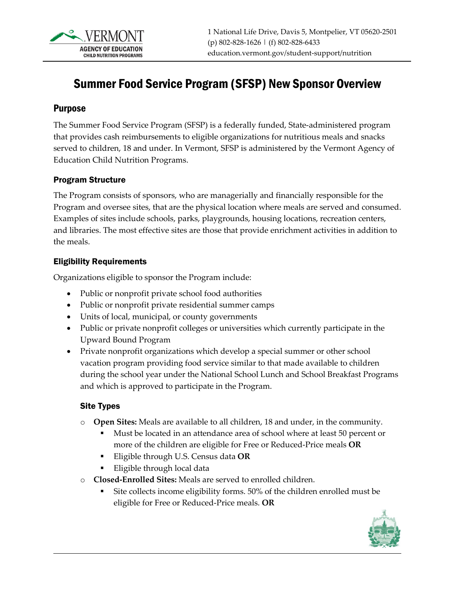

# Summer Food Service Program (SFSP) New Sponsor Overview

#### Purpose

The Summer Food Service Program (SFSP) is a federally funded, State-administered program that provides cash reimbursements to eligible organizations for nutritious meals and snacks served to children, 18 and under. In Vermont, SFSP is administered by the Vermont Agency of Education Child Nutrition Programs.

#### Program Structure

The Program consists of sponsors, who are managerially and financially responsible for the Program and oversee sites, that are the physical location where meals are served and consumed. Examples of sites include schools, parks, playgrounds, housing locations, recreation centers, and libraries. The most effective sites are those that provide enrichment activities in addition to the meals.

#### Eligibility Requirements

Organizations eligible to sponsor the Program include:

- Public or nonprofit private school food authorities
- Public or nonprofit private residential summer camps
- Units of local, municipal, or county governments
- Public or private nonprofit colleges or universities which currently participate in the Upward Bound Program
- Private nonprofit organizations which develop a special summer or other school vacation program providing food service similar to that made available to children during the school year under the National School Lunch and School Breakfast Programs and which is approved to participate in the Program.

#### Site Types

- o **Open Sites:** Meals are available to all children, 18 and under, in the community.
	- Must be located in an attendance area of school where at least 50 percent or more of the children are eligible for Free or Reduced-Price meals **OR**
	- Eligible through U.S. Census data **OR**
	- **Eligible through local data**
- o **Closed-Enrolled Sites:** Meals are served to enrolled children.
	- Site collects income eligibility forms. 50% of the children enrolled must be eligible for Free or Reduced-Price meals. **OR**

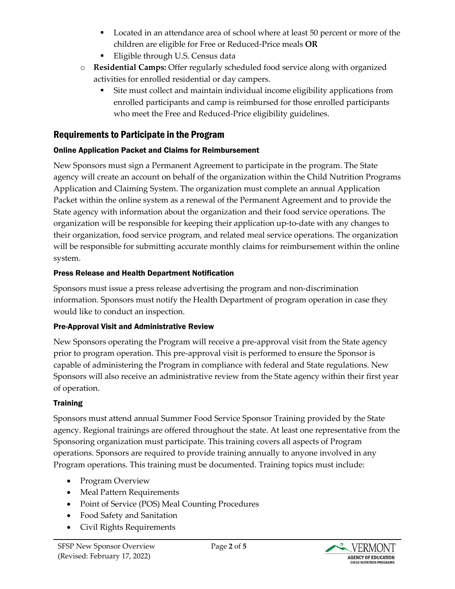- **Located in an attendance area of school where at least 50 percent or more of the** children are eligible for Free or Reduced-Price meals **OR**
- Eligible through U.S. Census data
- o **Residential Camps:** Offer regularly scheduled food service along with organized activities for enrolled residential or day campers.
	- Site must collect and maintain individual income eligibility applications from enrolled participants and camp is reimbursed for those enrolled participants who meet the Free and Reduced-Price eligibility guidelines.

# Requirements to Participate in the Program

## Online Application Packet and Claims for Reimbursement

New Sponsors must sign a Permanent Agreement to participate in the program. The State agency will create an account on behalf of the organization within the Child Nutrition Programs Application and Claiming System. The organization must complete an annual Application Packet within the online system as a renewal of the Permanent Agreement and to provide the State agency with information about the organization and their food service operations. The organization will be responsible for keeping their application up-to-date with any changes to their organization, food service program, and related meal service operations. The organization will be responsible for submitting accurate monthly claims for reimbursement within the online system.

## Press Release and Health Department Notification

Sponsors must issue a press release advertising the program and non-discrimination information. Sponsors must notify the Health Department of program operation in case they would like to conduct an inspection.

## Pre-Approval Visit and Administrative Review

New Sponsors operating the Program will receive a pre-approval visit from the State agency prior to program operation. This pre-approval visit is performed to ensure the Sponsor is capable of administering the Program in compliance with federal and State regulations. New Sponsors will also receive an administrative review from the State agency within their first year of operation.

## **Training**

Sponsors must attend annual Summer Food Service Sponsor Training provided by the State agency. Regional trainings are offered throughout the state. At least one representative from the Sponsoring organization must participate. This training covers all aspects of Program operations. Sponsors are required to provide training annually to anyone involved in any Program operations. This training must be documented. Training topics must include:

- Program Overview
- Meal Pattern Requirements
- Point of Service (POS) Meal Counting Procedures
- Food Safety and Sanitation
- Civil Rights Requirements

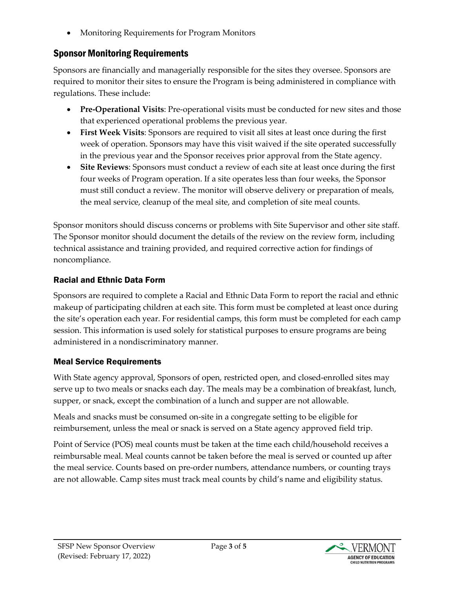• Monitoring Requirements for Program Monitors

# Sponsor Monitoring Requirements

Sponsors are financially and managerially responsible for the sites they oversee. Sponsors are required to monitor their sites to ensure the Program is being administered in compliance with regulations. These include:

- **Pre-Operational Visits**: Pre-operational visits must be conducted for new sites and those that experienced operational problems the previous year.
- **First Week Visits**: Sponsors are required to visit all sites at least once during the first week of operation. Sponsors may have this visit waived if the site operated successfully in the previous year and the Sponsor receives prior approval from the State agency.
- **Site Reviews**: Sponsors must conduct a review of each site at least once during the first four weeks of Program operation. If a site operates less than four weeks, the Sponsor must still conduct a review. The monitor will observe delivery or preparation of meals, the meal service, cleanup of the meal site, and completion of site meal counts.

Sponsor monitors should discuss concerns or problems with Site Supervisor and other site staff. The Sponsor monitor should document the details of the review on the review form, including technical assistance and training provided, and required corrective action for findings of noncompliance.

## Racial and Ethnic Data Form

Sponsors are required to complete a Racial and Ethnic Data Form to report the racial and ethnic makeup of participating children at each site. This form must be completed at least once during the site's operation each year. For residential camps, this form must be completed for each camp session. This information is used solely for statistical purposes to ensure programs are being administered in a nondiscriminatory manner.

## Meal Service Requirements

With State agency approval, Sponsors of open, restricted open, and closed-enrolled sites may serve up to two meals or snacks each day. The meals may be a combination of breakfast, lunch, supper, or snack, except the combination of a lunch and supper are not allowable.

Meals and snacks must be consumed on-site in a congregate setting to be eligible for reimbursement, unless the meal or snack is served on a State agency approved field trip.

Point of Service (POS) meal counts must be taken at the time each child/household receives a reimbursable meal. Meal counts cannot be taken before the meal is served or counted up after the meal service. Counts based on pre-order numbers, attendance numbers, or counting trays are not allowable. Camp sites must track meal counts by child's name and eligibility status.

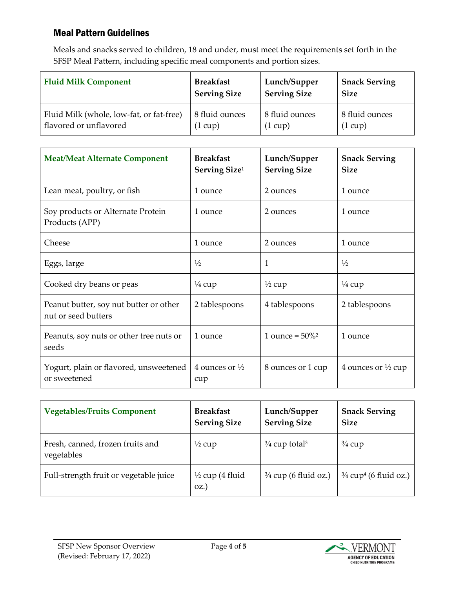## Meal Pattern Guidelines

Meals and snacks served to children, 18 and under, must meet the requirements set forth in the SFSP Meal Pattern, including specific meal components and portion sizes.

| <b>Fluid Milk Component</b>              | <b>Breakfast</b>    | Lunch/Supper        | <b>Snack Serving</b> |
|------------------------------------------|---------------------|---------------------|----------------------|
|                                          | <b>Serving Size</b> | <b>Serving Size</b> | <b>Size</b>          |
| Fluid Milk (whole, low-fat, or fat-free) | 8 fluid ounces      | 8 fluid ounces      | 8 fluid ounces       |
| flavored or unflavored                   | $(1 \text{ cup})$   | $(1 \text{ cup})$   | $(1 \text{ cup})$    |

| <b>Meat/Meat Alternate Component</b>                          | <b>Breakfast</b><br>Serving Size <sup>1</sup> | Lunch/Supper<br><b>Serving Size</b> | <b>Snack Serving</b><br><b>Size</b> |
|---------------------------------------------------------------|-----------------------------------------------|-------------------------------------|-------------------------------------|
| Lean meat, poultry, or fish                                   | 1 ounce                                       | 2 ounces                            | 1 ounce                             |
| Soy products or Alternate Protein<br>Products (APP)           | 1 ounce                                       | 2 ounces                            | 1 ounce                             |
| Cheese                                                        | 1 ounce                                       | 2 ounces                            | 1 ounce                             |
| Eggs, large                                                   | $\frac{1}{2}$                                 | 1                                   | $\frac{1}{2}$                       |
| Cooked dry beans or peas                                      | $\frac{1}{4}$ cup                             | $\frac{1}{2}$ cup                   | $\frac{1}{4}$ cup                   |
| Peanut butter, soy nut butter or other<br>nut or seed butters | 2 tablespoons                                 | 4 tablespoons                       | 2 tablespoons                       |
| Peanuts, soy nuts or other tree nuts or<br>seeds              | 1 ounce                                       | 1 ounce = $50\%$ <sup>2</sup>       | 1 ounce                             |
| Yogurt, plain or flavored, unsweetened<br>or sweetened        | 4 ounces or $\frac{1}{2}$<br>cup              | 8 ounces or 1 cup                   | 4 ounces or $\frac{1}{2}$ cup       |

| <b>Vegetables/Fruits Component</b>             | <b>Breakfast</b><br><b>Serving Size</b> | Lunch/Supper<br><b>Serving Size</b>  | <b>Snack Serving</b><br><b>Size</b>          |
|------------------------------------------------|-----------------------------------------|--------------------------------------|----------------------------------------------|
| Fresh, canned, frozen fruits and<br>vegetables | $\frac{1}{2}$ cup                       | $\frac{3}{4}$ cup total <sup>3</sup> | $\frac{3}{4}$ cup                            |
| Full-strength fruit or vegetable juice         | $\frac{1}{2}$ cup (4 fluid<br>$OZ$ .    | $\frac{3}{4}$ cup (6 fluid oz.)      | $\frac{3}{4}$ cup <sup>4</sup> (6 fluid oz.) |